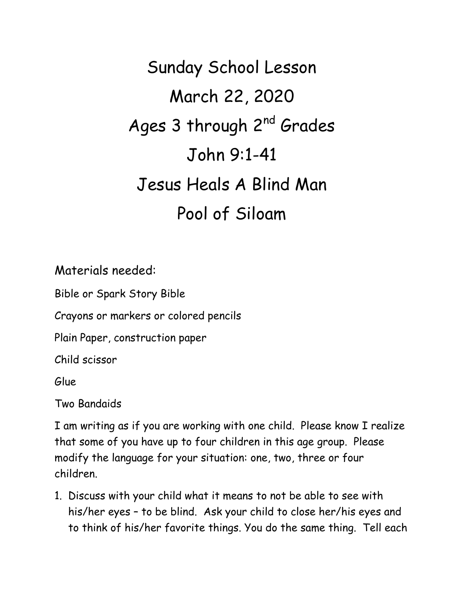Sunday School Lesson March 22, 2020 Ages 3 through 2<sup>nd</sup> Grades John 9:1-41 Jesus Heals A Blind Man Pool of Siloam

Materials needed:

Bible or Spark Story Bible

Crayons or markers or colored pencils

Plain Paper, construction paper

Child scissor

Glue

Two Bandaids

I am writing as if you are working with one child. Please know I realize that some of you have up to four children in this age group. Please modify the language for your situation: one, two, three or four children.

1. Discuss with your child what it means to not be able to see with his/her eyes – to be blind. Ask your child to close her/his eyes and to think of his/her favorite things. You do the same thing. Tell each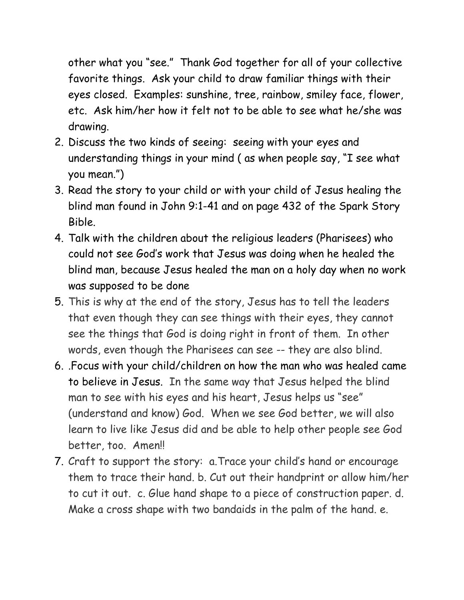other what you "see." Thank God together for all of your collective favorite things. Ask your child to draw familiar things with their eyes closed. Examples: sunshine, tree, rainbow, smiley face, flower, etc. Ask him/her how it felt not to be able to see what he/she was drawing.

- 2. Discuss the two kinds of seeing: seeing with your eyes and understanding things in your mind ( as when people say, "I see what you mean.")
- 3. Read the story to your child or with your child of Jesus healing the blind man found in John 9:1-41 and on page 432 of the Spark Story Bible.
- 4. Talk with the children about the religious leaders (Pharisees) who could not see God's work that Jesus was doing when he healed the blind man, because Jesus healed the man on a holy day when no work was supposed to be done
- 5. This is why at the end of the story, Jesus has to tell the leaders that even though they can see things with their eyes, they cannot see the things that God is doing right in front of them. In other words, even though the Pharisees can see -- they are also blind.
- 6. .Focus with your child/children on how the man who was healed came to believe in Jesus. In the same way that Jesus helped the blind man to see with his eyes and his heart, Jesus helps us "see" (understand and know) God. When we see God better, we will also learn to live like Jesus did and be able to help other people see God better, too. Amen!!
- 7. Craft to support the story: a.Trace your child's hand or encourage them to trace their hand. b. Cut out their handprint or allow him/her to cut it out. c. Glue hand shape to a piece of construction paper. d. Make a cross shape with two bandaids in the palm of the hand. e.